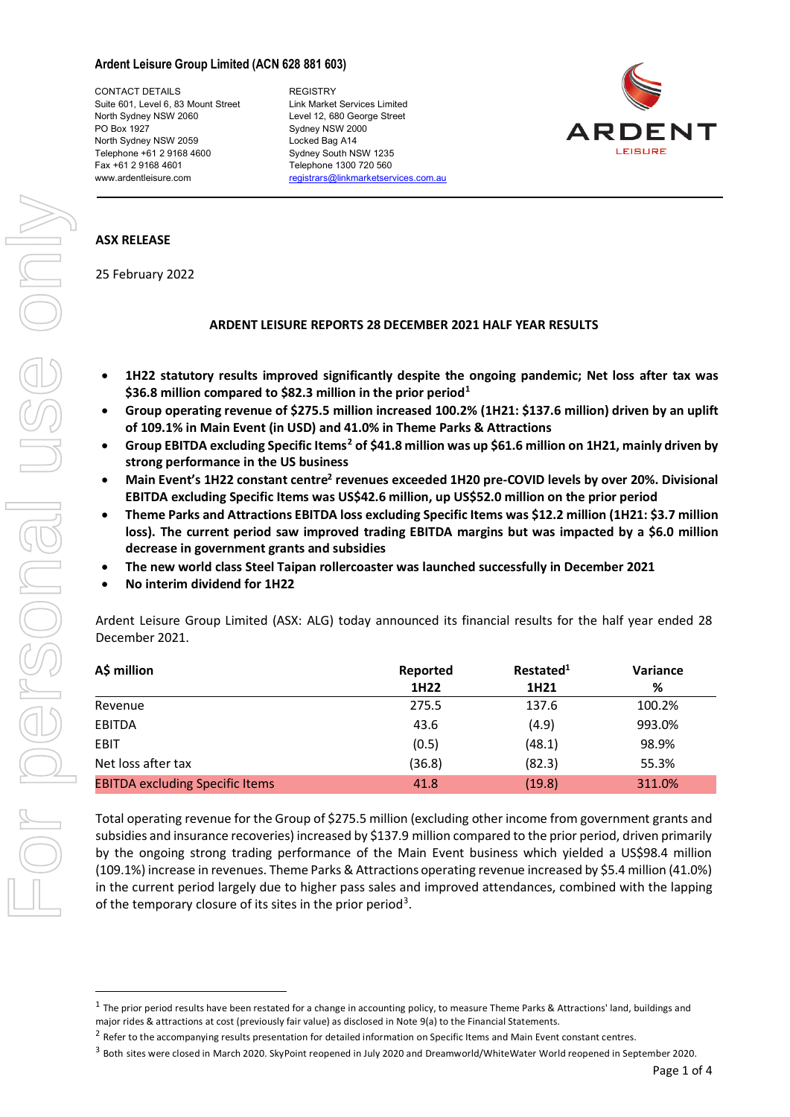### **Ardent Leisure Group Limited (ACN 628 881 603)**

CONTACT DETAILS REGISTRY Suite 601, Level 6, 83 Mount Street Link Market Services Limited<br>North Sydney NSW 2060 **Level 12, 680 George Street** PO Box 1927 Sydney NSW 2000 North Sydney NSW 2059 Locked Bag A14 Telephone +61 2 9168 4600 Sydney South NSW 1235 Fax +61 2 9168 4601 Telephone 1300 720 560

Level 12, 680 George Street www.ardentleisure.com [registrars@linkmarketservices.com.au](mailto:registrars@linkmarketservices.com.au)



# **ASX RELEASE**

25 February 2022

## **ARDENT LEISURE REPORTS 28 DECEMBER 2021 HALF YEAR RESULTS**

- **1H22 statutory results improved significantly despite the ongoing pandemic; Net loss after tax was \$36.8 million compared to \$82.3 million in the prior period[1](#page-0-0)**
- **Group operating revenue of \$275.5 million increased 100.2% (1H21: \$137.6 million) driven by an uplift of 109.1% in Main Event (in USD) and 41.0% in Theme Parks & Attractions**
- **Group EBITDA excluding Specific Items[2](#page-0-1) of \$41.8 million was up \$61.6 million on 1H21, mainly driven by strong performance in the US business**
- **Main Event's 1H22 constant centre2 revenues exceeded 1H20 pre-COVID levels by over 20%. Divisional EBITDA excluding Specific Items was US\$42.6 million, up US\$52.0 million on the prior period**
- **Theme Parks and Attractions EBITDA loss excluding Specific Items was \$12.2 million (1H21: \$3.7 million loss). The current period saw improved trading EBITDA margins but was impacted by a \$6.0 million decrease in government grants and subsidies**
- **The new world class Steel Taipan rollercoaster was launched successfully in December 2021**
- **No interim dividend for 1H22**

Ardent Leisure Group Limited (ASX: ALG) today announced its financial results for the half year ended 28 December 2021.

| A\$ million                            | Reported<br>1H22 | Restated <sup>1</sup><br>1H <sub>21</sub> | Variance<br>% |
|----------------------------------------|------------------|-------------------------------------------|---------------|
|                                        |                  |                                           |               |
| <b>FBITDA</b>                          | 43.6             | (4.9)                                     | 993.0%        |
| <b>FBIT</b>                            | (0.5)            | 48.1)                                     | 98.9%         |
| Net loss after tax                     | (36.8)           | (82.3)                                    | 55.3%         |
| <b>EBITDA excluding Specific Items</b> | 41 R             | (19.8)                                    | 311.0%        |

Total operating revenue for the Group of \$275.5 million (excluding other income from government grants and subsidies and insurance recoveries) increased by \$137.9 million compared to the prior period, driven primarily by the ongoing strong trading performance of the Main Event business which yielded a US\$98.4 million (109.1%) increase in revenues. Theme Parks & Attractions operating revenue increased by \$5.4 million (41.0%) in the current period largely due to higher pass sales and improved attendances, combined with the lapping of the temporary closure of its sites in the prior period<sup>[3](#page-0-2)</sup>.

<span id="page-0-0"></span> $1$  The prior period results have been restated for a change in accounting policy, to measure Theme Parks & Attractions' land, buildings and major rides & attractions at cost (previously fair value) as disclosed in Note 9(a) to the Financial Statements.

<span id="page-0-1"></span><sup>&</sup>lt;sup>2</sup> Refer to the accompanying results presentation for detailed information on Specific Items and Main Event constant centres.

<span id="page-0-2"></span><sup>&</sup>lt;sup>3</sup> Both sites were closed in March 2020. SkyPoint reopened in July 2020 and Dreamworld/WhiteWater World reopened in September 2020.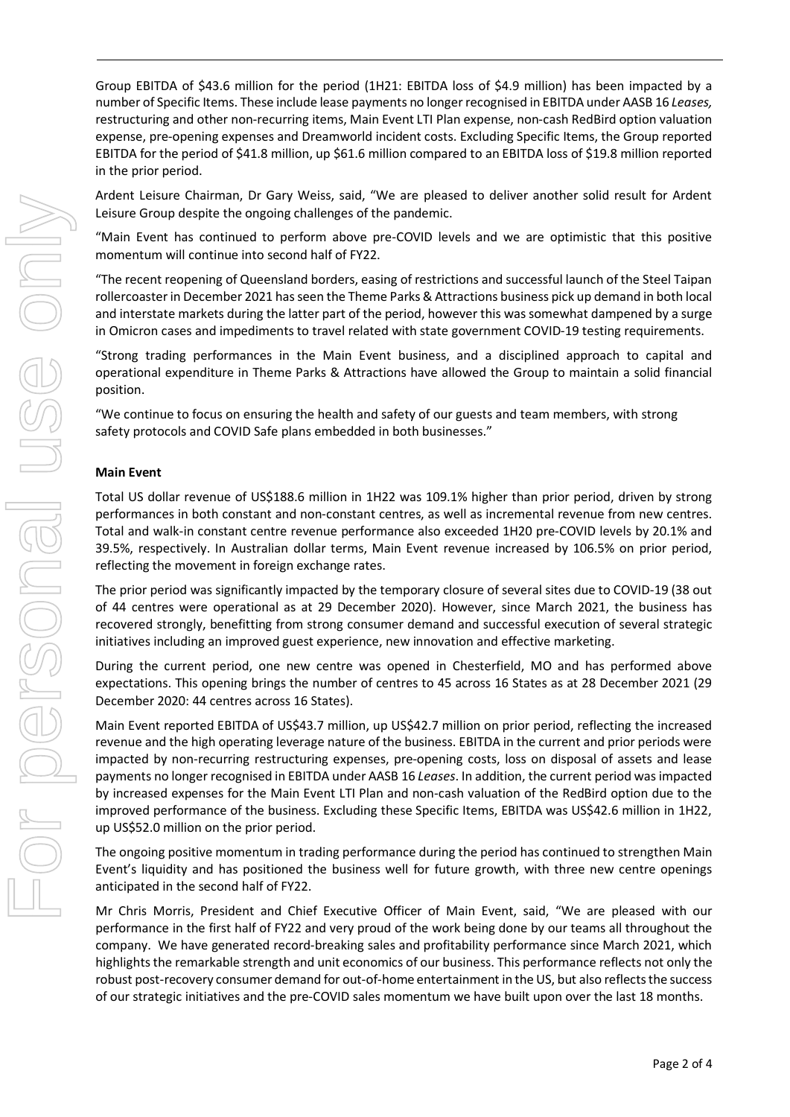Group EBITDA of \$43.6 million for the period (1H21: EBITDA loss of \$4.9 million) has been impacted by a number of Specific Items. These include lease payments no longer recognised in EBITDA under AASB 16 *Leases,* restructuring and other non-recurring items, Main Event LTI Plan expense, non-cash RedBird option valuation expense, pre-opening expenses and Dreamworld incident costs. Excluding Specific Items, the Group reported EBITDA for the period of \$41.8 million, up \$61.6 million compared to an EBITDA loss of \$19.8 million reported in the prior period.

Ardent Leisure Chairman, Dr Gary Weiss, said, "We are pleased to deliver another solid result for Ardent Leisure Group despite the ongoing challenges of the pandemic.

"Main Event has continued to perform above pre-COVID levels and we are optimistic that this positive momentum will continue into second half of FY22.

"The recent reopening of Queensland borders, easing of restrictions and successful launch of the Steel Taipan rollercoasterin December 2021 hasseen the Theme Parks & Attractions business pick up demand in both local and interstate markets during the latter part of the period, however this was somewhat dampened by a surge in Omicron cases and impediments to travel related with state government COVID-19 testing requirements.

"Strong trading performances in the Main Event business, and a disciplined approach to capital and operational expenditure in Theme Parks & Attractions have allowed the Group to maintain a solid financial position.

"We continue to focus on ensuring the health and safety of our guests and team members, with strong safety protocols and COVID Safe plans embedded in both businesses."

## **Main Event**

Total US dollar revenue of US\$188.6 million in 1H22 was 109.1% higher than prior period, driven by strong performances in both constant and non-constant centres, as well as incremental revenue from new centres. Total and walk-in constant centre revenue performance also exceeded 1H20 pre-COVID levels by 20.1% and 39.5%, respectively. In Australian dollar terms, Main Event revenue increased by 106.5% on prior period, reflecting the movement in foreign exchange rates.

The prior period was significantly impacted by the temporary closure of several sites due to COVID-19 (38 out of 44 centres were operational as at 29 December 2020). However, since March 2021, the business has recovered strongly, benefitting from strong consumer demand and successful execution of several strategic initiatives including an improved guest experience, new innovation and effective marketing.

During the current period, one new centre was opened in Chesterfield, MO and has performed above expectations. This opening brings the number of centres to 45 across 16 States as at 28 December 2021 (29 December 2020: 44 centres across 16 States).

Main Event reported EBITDA of US\$43.7 million, up US\$42.7 million on prior period, reflecting the increased revenue and the high operating leverage nature of the business. EBITDA in the current and prior periods were impacted by non-recurring restructuring expenses, pre-opening costs, loss on disposal of assets and lease payments no longer recognised in EBITDA under AASB 16 *Leases*. In addition, the current period was impacted by increased expenses for the Main Event LTI Plan and non-cash valuation of the RedBird option due to the improved performance of the business. Excluding these Specific Items, EBITDA was US\$42.6 million in 1H22, up US\$52.0 million on the prior period.

The ongoing positive momentum in trading performance during the period has continued to strengthen Main Event's liquidity and has positioned the business well for future growth, with three new centre openings anticipated in the second half of FY22.

Mr Chris Morris, President and Chief Executive Officer of Main Event, said, "We are pleased with our performance in the first half of FY22 and very proud of the work being done by our teams all throughout the company. We have generated record-breaking sales and profitability performance since March 2021, which highlights the remarkable strength and unit economics of our business. This performance reflects not only the robust post-recovery consumer demand for out-of-home entertainment in the US, but also reflects the success of our strategic initiatives and the pre-COVID sales momentum we have built upon over the last 18 months.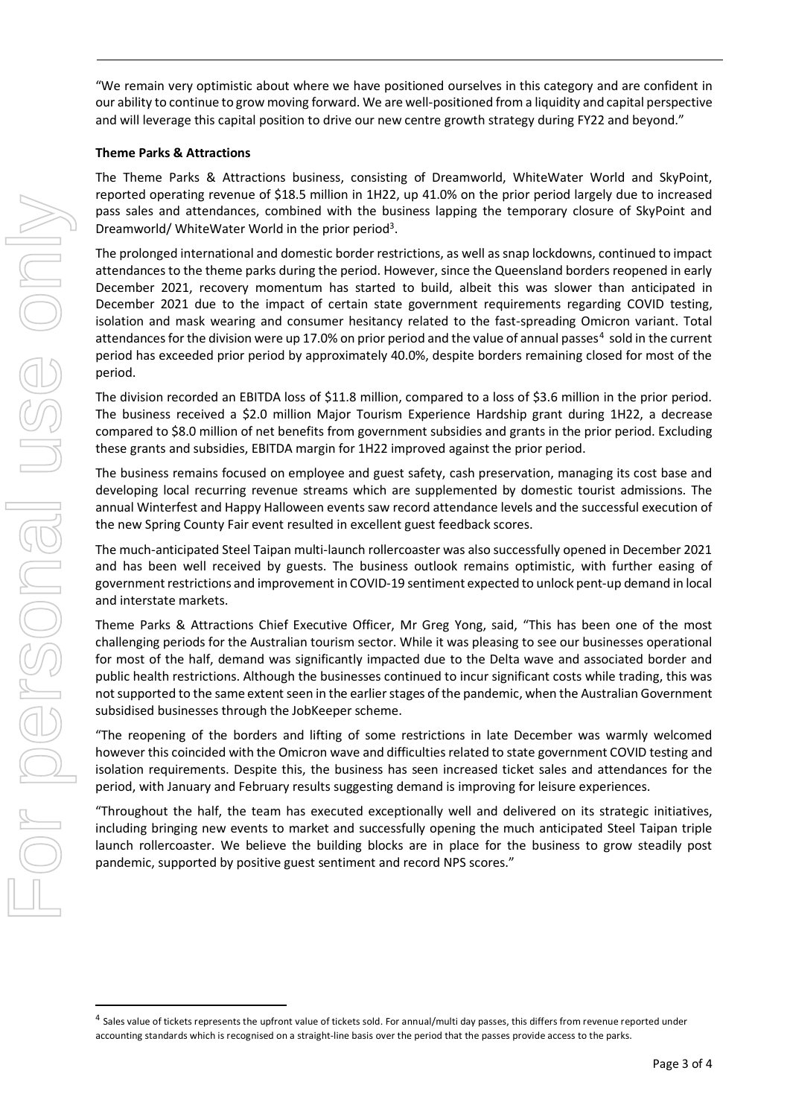"We remain very optimistic about where we have positioned ourselves in this category and are confident in our ability to continue to grow moving forward. We are well-positioned from a liquidity and capital perspective and will leverage this capital position to drive our new centre growth strategy during FY22 and beyond."

### **Theme Parks & Attractions**

The Theme Parks & Attractions business, consisting of Dreamworld, WhiteWater World and SkyPoint, reported operating revenue of \$18.5 million in 1H22, up 41.0% on the prior period largely due to increased pass sales and attendances, combined with the business lapping the temporary closure of SkyPoint and Dreamworld/ WhiteWater World in the prior period<sup>3</sup>.

The prolonged international and domestic border restrictions, as well as snap lockdowns, continued to impact attendances to the theme parks during the period. However, since the Queensland borders reopened in early December 2021, recovery momentum has started to build, albeit this was slower than anticipated in December 2021 due to the impact of certain state government requirements regarding COVID testing, isolation and mask wearing and consumer hesitancy related to the fast-spreading Omicron variant. Total attendances for the division were up 17.0% on prior period and the value of annual passes<sup>[4](#page-2-0)</sup> sold in the current period has exceeded prior period by approximately 40.0%, despite borders remaining closed for most of the period.

The division recorded an EBITDA loss of \$11.8 million, compared to a loss of \$3.6 million in the prior period. The business received a \$2.0 million Major Tourism Experience Hardship grant during 1H22, a decrease compared to \$8.0 million of net benefits from government subsidies and grants in the prior period. Excluding these grants and subsidies, EBITDA margin for 1H22 improved against the prior period.

The business remains focused on employee and guest safety, cash preservation, managing its cost base and developing local recurring revenue streams which are supplemented by domestic tourist admissions. The annual Winterfest and Happy Halloween events saw record attendance levels and the successful execution of the new Spring County Fair event resulted in excellent guest feedback scores.

The much-anticipated Steel Taipan multi-launch rollercoaster was also successfully opened in December 2021 and has been well received by guests. The business outlook remains optimistic, with further easing of government restrictions and improvement in COVID-19 sentiment expected to unlock pent-up demand in local and interstate markets.

Theme Parks & Attractions Chief Executive Officer, Mr Greg Yong, said, "This has been one of the most challenging periods for the Australian tourism sector. While it was pleasing to see our businesses operational for most of the half, demand was significantly impacted due to the Delta wave and associated border and public health restrictions. Although the businesses continued to incur significant costs while trading, this was not supported to the same extent seen in the earlier stages of the pandemic, when the Australian Government subsidised businesses through the JobKeeper scheme.

"The reopening of the borders and lifting of some restrictions in late December was warmly welcomed however this coincided with the Omicron wave and difficulties related to state government COVID testing and isolation requirements. Despite this, the business has seen increased ticket sales and attendances for the period, with January and February results suggesting demand is improving for leisure experiences.

"Throughout the half, the team has executed exceptionally well and delivered on its strategic initiatives, including bringing new events to market and successfully opening the much anticipated Steel Taipan triple launch rollercoaster. We believe the building blocks are in place for the business to grow steadily post pandemic, supported by positive guest sentiment and record NPS scores."

<span id="page-2-0"></span><sup>&</sup>lt;sup>4</sup> Sales value of tickets represents the upfront value of tickets sold. For annual/multi day passes, this differs from revenue reported under accounting standards which is recognised on a straight-line basis over the period that the passes provide access to the parks.